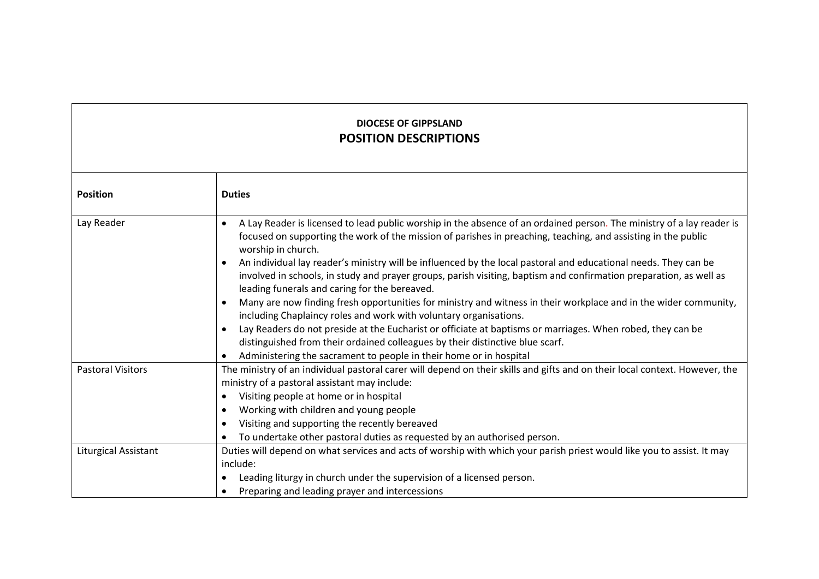## **DIOCESE OF GIPPSLAND POSITION DESCRIPTIONS**

| <b>Position</b>          | <b>Duties</b>                                                                                                                                                                                                                                                                                       |  |  |
|--------------------------|-----------------------------------------------------------------------------------------------------------------------------------------------------------------------------------------------------------------------------------------------------------------------------------------------------|--|--|
| Lay Reader               | A Lay Reader is licensed to lead public worship in the absence of an ordained person. The ministry of a lay reader is<br>$\bullet$<br>focused on supporting the work of the mission of parishes in preaching, teaching, and assisting in the public<br>worship in church.                           |  |  |
|                          | An individual lay reader's ministry will be influenced by the local pastoral and educational needs. They can be<br>$\bullet$<br>involved in schools, in study and prayer groups, parish visiting, baptism and confirmation preparation, as well as<br>leading funerals and caring for the bereaved. |  |  |
|                          | Many are now finding fresh opportunities for ministry and witness in their workplace and in the wider community,<br>$\bullet$<br>including Chaplaincy roles and work with voluntary organisations.                                                                                                  |  |  |
|                          | Lay Readers do not preside at the Eucharist or officiate at baptisms or marriages. When robed, they can be<br>$\bullet$                                                                                                                                                                             |  |  |
|                          | distinguished from their ordained colleagues by their distinctive blue scarf.                                                                                                                                                                                                                       |  |  |
|                          | Administering the sacrament to people in their home or in hospital<br>$\bullet$                                                                                                                                                                                                                     |  |  |
| <b>Pastoral Visitors</b> | The ministry of an individual pastoral carer will depend on their skills and gifts and on their local context. However, the                                                                                                                                                                         |  |  |
|                          | ministry of a pastoral assistant may include:                                                                                                                                                                                                                                                       |  |  |
|                          | Visiting people at home or in hospital<br>$\bullet$                                                                                                                                                                                                                                                 |  |  |
|                          | Working with children and young people<br>$\bullet$                                                                                                                                                                                                                                                 |  |  |
|                          | Visiting and supporting the recently bereaved<br>$\bullet$                                                                                                                                                                                                                                          |  |  |
|                          | To undertake other pastoral duties as requested by an authorised person.                                                                                                                                                                                                                            |  |  |
| Liturgical Assistant     | Duties will depend on what services and acts of worship with which your parish priest would like you to assist. It may                                                                                                                                                                              |  |  |
|                          | include:                                                                                                                                                                                                                                                                                            |  |  |
|                          | Leading liturgy in church under the supervision of a licensed person.<br>٠                                                                                                                                                                                                                          |  |  |
|                          | Preparing and leading prayer and intercessions                                                                                                                                                                                                                                                      |  |  |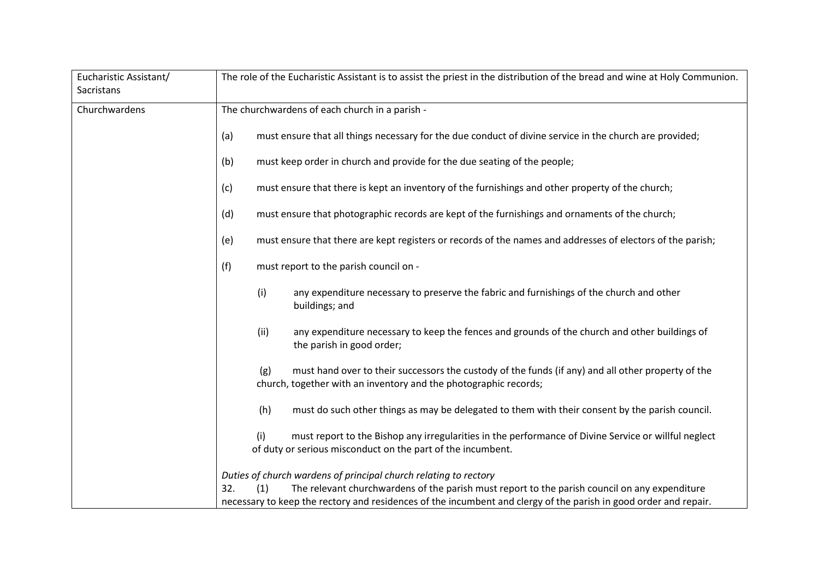| Eucharistic Assistant/<br>Sacristans | The role of the Eucharistic Assistant is to assist the priest in the distribution of the bread and wine at Holy Communion.                                                                                               |  |
|--------------------------------------|--------------------------------------------------------------------------------------------------------------------------------------------------------------------------------------------------------------------------|--|
| Churchwardens                        | The churchwardens of each church in a parish -                                                                                                                                                                           |  |
|                                      | must ensure that all things necessary for the due conduct of divine service in the church are provided;<br>(a)                                                                                                           |  |
|                                      | must keep order in church and provide for the due seating of the people;<br>(b)                                                                                                                                          |  |
|                                      | must ensure that there is kept an inventory of the furnishings and other property of the church;<br>(c)                                                                                                                  |  |
|                                      | must ensure that photographic records are kept of the furnishings and ornaments of the church;<br>(d)                                                                                                                    |  |
|                                      | must ensure that there are kept registers or records of the names and addresses of electors of the parish;<br>(e)                                                                                                        |  |
|                                      | (f)<br>must report to the parish council on -                                                                                                                                                                            |  |
|                                      | (i)<br>any expenditure necessary to preserve the fabric and furnishings of the church and other<br>buildings; and                                                                                                        |  |
|                                      | (ii)<br>any expenditure necessary to keep the fences and grounds of the church and other buildings of<br>the parish in good order;                                                                                       |  |
|                                      | must hand over to their successors the custody of the funds (if any) and all other property of the<br>(g)<br>church, together with an inventory and the photographic records;                                            |  |
|                                      | (h)<br>must do such other things as may be delegated to them with their consent by the parish council.                                                                                                                   |  |
|                                      | (i)<br>must report to the Bishop any irregularities in the performance of Divine Service or willful neglect<br>of duty or serious misconduct on the part of the incumbent.                                               |  |
|                                      | Duties of church wardens of principal church relating to rectory                                                                                                                                                         |  |
|                                      | The relevant churchwardens of the parish must report to the parish council on any expenditure<br>32.<br>necessary to keep the rectory and residences of the incumbent and clergy of the parish in good order and repair. |  |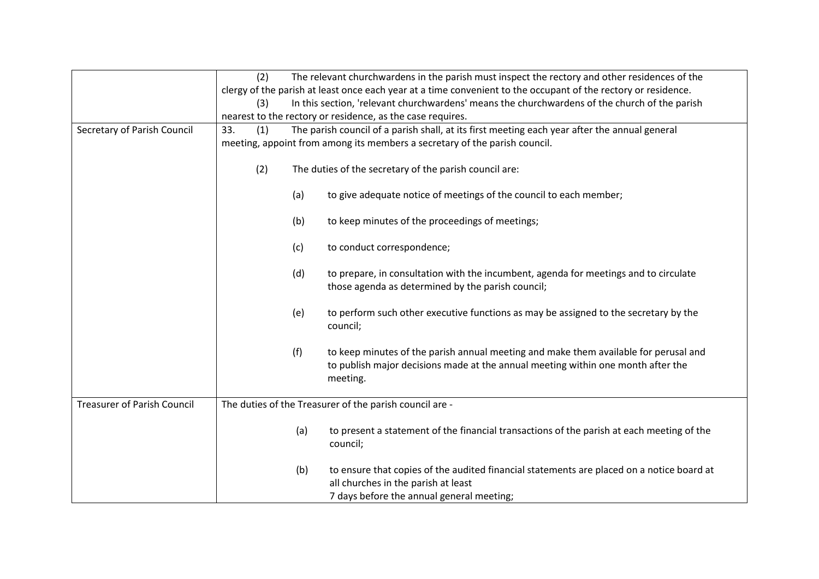|                                    | (2)                                                                                                            | The relevant churchwardens in the parish must inspect the rectory and other residences of the                                                                                        |  |
|------------------------------------|----------------------------------------------------------------------------------------------------------------|--------------------------------------------------------------------------------------------------------------------------------------------------------------------------------------|--|
|                                    | clergy of the parish at least once each year at a time convenient to the occupant of the rectory or residence. |                                                                                                                                                                                      |  |
|                                    | (3)                                                                                                            | In this section, 'relevant churchwardens' means the churchwardens of the church of the parish                                                                                        |  |
|                                    |                                                                                                                | nearest to the rectory or residence, as the case requires.                                                                                                                           |  |
| Secretary of Parish Council        | The parish council of a parish shall, at its first meeting each year after the annual general<br>33.<br>(1)    |                                                                                                                                                                                      |  |
|                                    |                                                                                                                | meeting, appoint from among its members a secretary of the parish council.                                                                                                           |  |
|                                    | (2)<br>The duties of the secretary of the parish council are:                                                  |                                                                                                                                                                                      |  |
|                                    | (a)                                                                                                            | to give adequate notice of meetings of the council to each member;                                                                                                                   |  |
|                                    | (b)                                                                                                            | to keep minutes of the proceedings of meetings;                                                                                                                                      |  |
|                                    | (c)                                                                                                            | to conduct correspondence;                                                                                                                                                           |  |
|                                    | (d)                                                                                                            | to prepare, in consultation with the incumbent, agenda for meetings and to circulate<br>those agenda as determined by the parish council;                                            |  |
|                                    | (e)                                                                                                            | to perform such other executive functions as may be assigned to the secretary by the<br>council;                                                                                     |  |
|                                    | (f)                                                                                                            | to keep minutes of the parish annual meeting and make them available for perusal and<br>to publish major decisions made at the annual meeting within one month after the<br>meeting. |  |
| <b>Treasurer of Parish Council</b> |                                                                                                                | The duties of the Treasurer of the parish council are -                                                                                                                              |  |
|                                    | (a)                                                                                                            | to present a statement of the financial transactions of the parish at each meeting of the<br>council;                                                                                |  |
|                                    | (b)                                                                                                            | to ensure that copies of the audited financial statements are placed on a notice board at<br>all churches in the parish at least<br>7 days before the annual general meeting;        |  |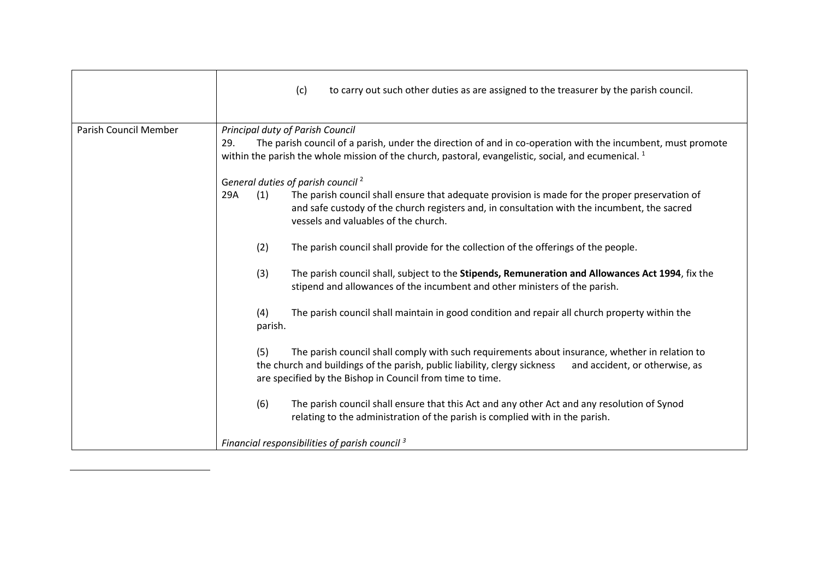|                       | (c)<br>to carry out such other duties as are assigned to the treasurer by the parish council.                                                                                                                                                                                     |  |
|-----------------------|-----------------------------------------------------------------------------------------------------------------------------------------------------------------------------------------------------------------------------------------------------------------------------------|--|
| Parish Council Member | Principal duty of Parish Council                                                                                                                                                                                                                                                  |  |
|                       | The parish council of a parish, under the direction of and in co-operation with the incumbent, must promote<br>29.<br>within the parish the whole mission of the church, pastoral, evangelistic, social, and ecumenical. <sup>1</sup>                                             |  |
|                       | General duties of parish council <sup>2</sup>                                                                                                                                                                                                                                     |  |
|                       | 29A<br>(1)<br>The parish council shall ensure that adequate provision is made for the proper preservation of<br>and safe custody of the church registers and, in consultation with the incumbent, the sacred<br>vessels and valuables of the church.                              |  |
|                       | (2)<br>The parish council shall provide for the collection of the offerings of the people.                                                                                                                                                                                        |  |
|                       | (3)<br>The parish council shall, subject to the Stipends, Remuneration and Allowances Act 1994, fix the<br>stipend and allowances of the incumbent and other ministers of the parish.                                                                                             |  |
|                       | The parish council shall maintain in good condition and repair all church property within the<br>(4)<br>parish.                                                                                                                                                                   |  |
|                       | The parish council shall comply with such requirements about insurance, whether in relation to<br>(5)<br>the church and buildings of the parish, public liability, clergy sickness<br>and accident, or otherwise, as<br>are specified by the Bishop in Council from time to time. |  |
|                       | The parish council shall ensure that this Act and any other Act and any resolution of Synod<br>(6)<br>relating to the administration of the parish is complied with in the parish.                                                                                                |  |
|                       | Financial responsibilities of parish council <sup>3</sup>                                                                                                                                                                                                                         |  |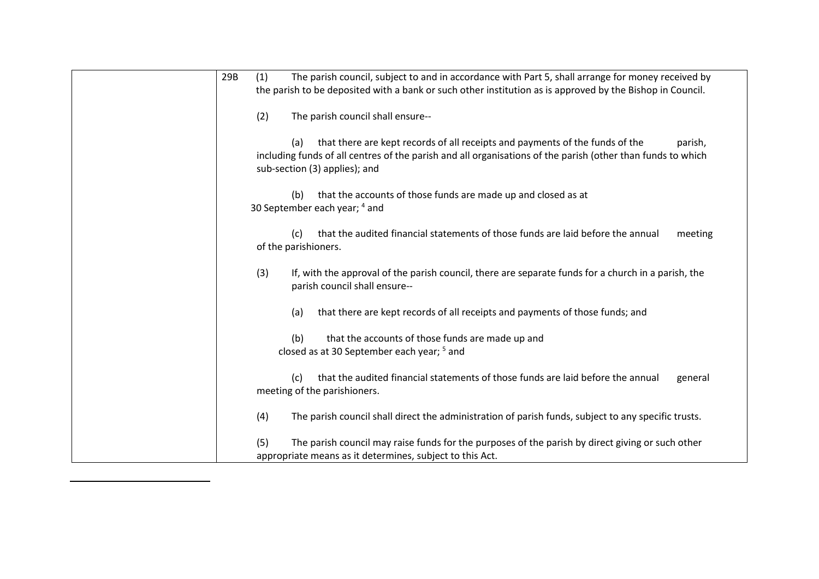| 29B<br>(1)<br>The parish council, subject to and in accordance with Part 5, shall arrange for money received by<br>the parish to be deposited with a bank or such other institution as is approved by the Bishop in Council.                   |
|------------------------------------------------------------------------------------------------------------------------------------------------------------------------------------------------------------------------------------------------|
| (2)<br>The parish council shall ensure--                                                                                                                                                                                                       |
| that there are kept records of all receipts and payments of the funds of the<br>(a)<br>parish,<br>including funds of all centres of the parish and all organisations of the parish (other than funds to which<br>sub-section (3) applies); and |
| that the accounts of those funds are made up and closed as at<br>(b)<br>30 September each year; 4 and                                                                                                                                          |
| that the audited financial statements of those funds are laid before the annual<br>meeting<br>(C)<br>of the parishioners.                                                                                                                      |
| (3)<br>If, with the approval of the parish council, there are separate funds for a church in a parish, the<br>parish council shall ensure--                                                                                                    |
| that there are kept records of all receipts and payments of those funds; and<br>(a)                                                                                                                                                            |
| that the accounts of those funds are made up and<br>(b)<br>closed as at 30 September each year; <sup>5</sup> and                                                                                                                               |
| that the audited financial statements of those funds are laid before the annual<br>(c)<br>general<br>meeting of the parishioners.                                                                                                              |
| (4)<br>The parish council shall direct the administration of parish funds, subject to any specific trusts.                                                                                                                                     |
| (5)<br>The parish council may raise funds for the purposes of the parish by direct giving or such other<br>appropriate means as it determines, subject to this Act.                                                                            |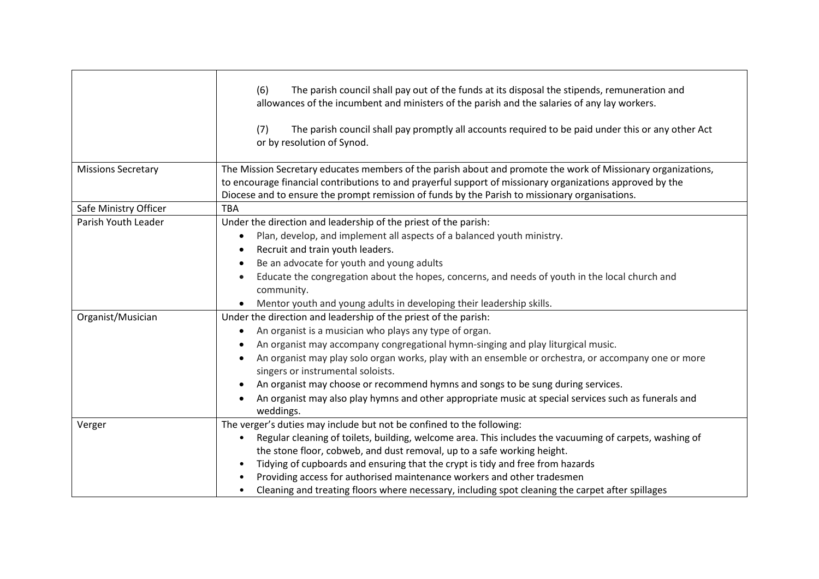|                           | The parish council shall pay out of the funds at its disposal the stipends, remuneration and<br>(6)<br>allowances of the incumbent and ministers of the parish and the salaries of any lay workers.<br>The parish council shall pay promptly all accounts required to be paid under this or any other Act<br>(7)<br>or by resolution of Synod.                                                                                                                                                                                                                                 |
|---------------------------|--------------------------------------------------------------------------------------------------------------------------------------------------------------------------------------------------------------------------------------------------------------------------------------------------------------------------------------------------------------------------------------------------------------------------------------------------------------------------------------------------------------------------------------------------------------------------------|
| <b>Missions Secretary</b> | The Mission Secretary educates members of the parish about and promote the work of Missionary organizations,<br>to encourage financial contributions to and prayerful support of missionary organizations approved by the<br>Diocese and to ensure the prompt remission of funds by the Parish to missionary organisations.                                                                                                                                                                                                                                                    |
| Safe Ministry Officer     | <b>TBA</b>                                                                                                                                                                                                                                                                                                                                                                                                                                                                                                                                                                     |
| Parish Youth Leader       | Under the direction and leadership of the priest of the parish:<br>Plan, develop, and implement all aspects of a balanced youth ministry.<br>Recruit and train youth leaders.<br>Be an advocate for youth and young adults<br>Educate the congregation about the hopes, concerns, and needs of youth in the local church and<br>community.<br>Mentor youth and young adults in developing their leadership skills.                                                                                                                                                             |
| Organist/Musician         | Under the direction and leadership of the priest of the parish:<br>An organist is a musician who plays any type of organ.<br>$\bullet$<br>An organist may accompany congregational hymn-singing and play liturgical music.<br>An organist may play solo organ works, play with an ensemble or orchestra, or accompany one or more<br>singers or instrumental soloists.<br>An organist may choose or recommend hymns and songs to be sung during services.<br>An organist may also play hymns and other appropriate music at special services such as funerals and<br>weddings. |
| Verger                    | The verger's duties may include but not be confined to the following:<br>Regular cleaning of toilets, building, welcome area. This includes the vacuuming of carpets, washing of<br>the stone floor, cobweb, and dust removal, up to a safe working height.<br>Tidying of cupboards and ensuring that the crypt is tidy and free from hazards<br>Providing access for authorised maintenance workers and other tradesmen<br>Cleaning and treating floors where necessary, including spot cleaning the carpet after spillages                                                   |